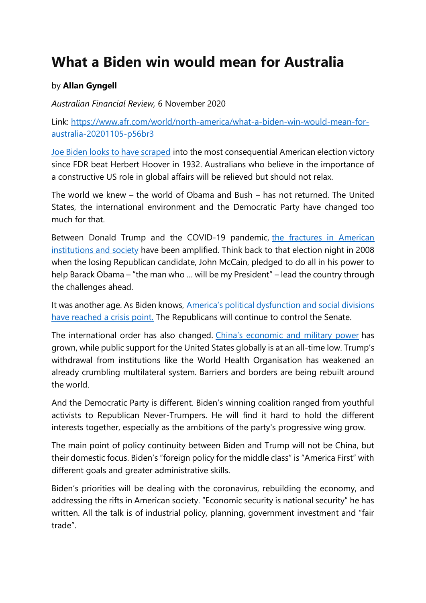## **What a Biden win would mean for Australia**

## by **Allan Gyngell**

*Australian Financial Review,* 6 November 2020

Link: [https://www.afr.com/world/north-america/what-a-biden-win-would-mean-for](https://www.afr.com/world/north-america/what-a-biden-win-would-mean-for-australia-20201105-p56br3)[australia-20201105-p56br3](https://www.afr.com/world/north-america/what-a-biden-win-would-mean-for-australia-20201105-p56br3)

[Joe Biden looks to have scraped](https://www.afr.com/world/north-america/biden-edges-ahead-as-trump-rails-against-mail-in-count-20201105-p56bnh) into the most consequential American election victory since FDR beat Herbert Hoover in 1932. Australians who believe in the importance of a constructive US role in global affairs will be relieved but should not relax.

The world we knew – the world of Obama and Bush – has not returned. The United States, the international environment and the Democratic Party have changed too much for that.

Between Donald Trump and the COVID-19 pandemic, [the fractures in American](https://www.afr.com/world/north-america/one-thing-is-clear-america-remains-bitterly-divided-20201104-p56bbz)  [institutions and society](https://www.afr.com/world/north-america/one-thing-is-clear-america-remains-bitterly-divided-20201104-p56bbz) have been amplified. Think back to that election night in 2008 when the losing Republican candidate, John McCain, pledged to do all in his power to help Barack Obama – "the man who … will be my President" – lead the country through the challenges ahead.

It was another age. As Biden knows, [America's political dysfunction and social divisions](https://www.afr.com/policy/foreign-affairs/post-election-america-is-a-dangerous-mess-20201104-p56bju)  [have reached a crisis point.](https://www.afr.com/policy/foreign-affairs/post-election-america-is-a-dangerous-mess-20201104-p56bju) The Republicans will continue to control the Senate.

The international order has also changed. [China's economic and military power](https://www.afr.com/link/follow-20180101-p56bd3) has grown, while public support for the United States globally is at an all-time low. Trump's withdrawal from institutions like the World Health Organisation has weakened an already crumbling multilateral system. Barriers and borders are being rebuilt around the world.

And the Democratic Party is different. Biden's winning coalition ranged from youthful activists to Republican Never-Trumpers. He will find it hard to hold the different interests together, especially as the ambitions of the party's progressive wing grow.

The main point of policy continuity between Biden and Trump will not be China, but their domestic focus. Biden's "foreign policy for the middle class" is "America First" with different goals and greater administrative skills.

Biden's priorities will be dealing with the coronavirus, rebuilding the economy, and addressing the rifts in American society. "Economic security is national security" he has written. All the talk is of industrial policy, planning, government investment and "fair trade".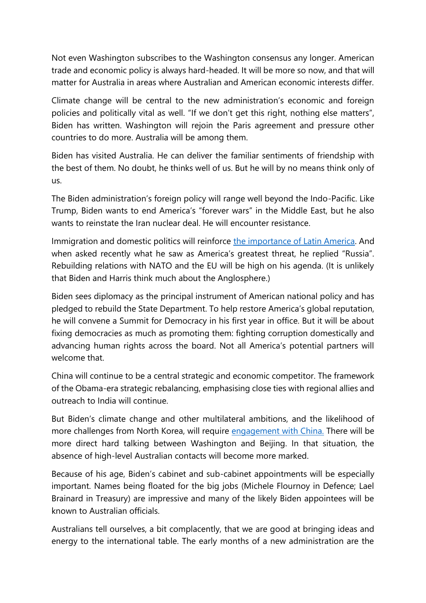Not even Washington subscribes to the Washington consensus any longer. American trade and economic policy is always hard-headed. It will be more so now, and that will matter for Australia in areas where Australian and American economic interests differ.

Climate change will be central to the new administration's economic and foreign policies and politically vital as well. "If we don't get this right, nothing else matters", Biden has written. Washington will rejoin the Paris agreement and pressure other countries to do more. Australia will be among them.

Biden has visited Australia. He can deliver the familiar sentiments of friendship with the best of them. No doubt, he thinks well of us. But he will by no means think only of us.

The Biden administration's foreign policy will range well beyond the Indo-Pacific. Like Trump, Biden wants to end America's "forever wars" in the Middle East, but he also wants to reinstate the Iran nuclear deal. He will encounter resistance.

Immigration and domestic politics will reinforce [the importance of Latin America.](https://www.afr.com/world/north-america/how-the-democrats-lost-the-latino-vote-20201105-p56bqt) And when asked recently what he saw as America's greatest threat, he replied "Russia". Rebuilding relations with NATO and the EU will be high on his agenda. (It is unlikely that Biden and Harris think much about the Anglosphere.)

Biden sees diplomacy as the principal instrument of American national policy and has pledged to rebuild the State Department. To help restore America's global reputation, he will convene a Summit for Democracy in his first year in office. But it will be about fixing democracies as much as promoting them: fighting corruption domestically and advancing human rights across the board. Not all America's potential partners will welcome that.

China will continue to be a central strategic and economic competitor. The framework of the Obama-era strategic rebalancing, emphasising close ties with regional allies and outreach to India will continue.

But Biden's climate change and other multilateral ambitions, and the likelihood of more challenges from North Korea, will require [engagement](https://www.afr.com/world/asia/china-calls-on-next-us-president-to-reboot-relations-20201105-p56bsz) with China. There will be more direct hard talking between Washington and Beijing. In that situation, the absence of high-level Australian contacts will become more marked.

Because of his age, Biden's cabinet and sub-cabinet appointments will be especially important. Names being floated for the big jobs (Michele Flournoy in Defence; Lael Brainard in Treasury) are impressive and many of the likely Biden appointees will be known to Australian officials.

Australians tell ourselves, a bit complacently, that we are good at bringing ideas and energy to the international table. The early months of a new administration are the